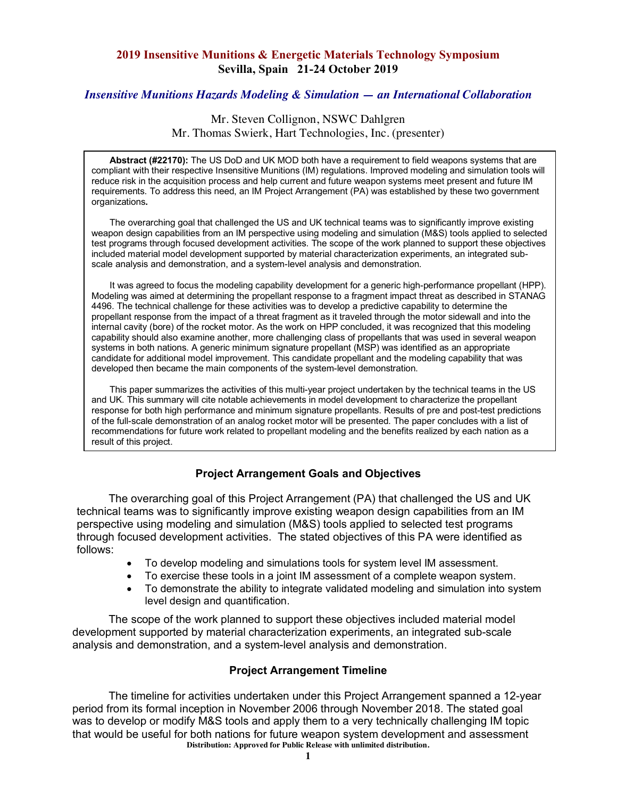### **2019 Insensitive Munitions & Energetic Materials Technology Symposium Sevilla, Spain 21-24 October 2019**

## *Insensitive Munitions Hazards Modeling & Simulation — an International Collaboration*

## Mr. Steven Collignon, NSWC Dahlgren Mr. Thomas Swierk, Hart Technologies, Inc. (presenter)

**Abstract (#22170):** The US DoD and UK MOD both have a requirement to field weapons systems that are compliant with their respective Insensitive Munitions (IM) regulations. Improved modeling and simulation tools will reduce risk in the acquisition process and help current and future weapon systems meet present and future IM requirements. To address this need, an IM Project Arrangement (PA) was established by these two government organizations**.**

The overarching goal that challenged the US and UK technical teams was to significantly improve existing weapon design capabilities from an IM perspective using modeling and simulation (M&S) tools applied to selected test programs through focused development activities. The scope of the work planned to support these objectives included material model development supported by material characterization experiments, an integrated subscale analysis and demonstration, and a system-level analysis and demonstration.

It was agreed to focus the modeling capability development for a generic high-performance propellant (HPP). Modeling was aimed at determining the propellant response to a fragment impact threat as described in STANAG 4496. The technical challenge for these activities was to develop a predictive capability to determine the propellant response from the impact of a threat fragment as it traveled through the motor sidewall and into the internal cavity (bore) of the rocket motor. As the work on HPP concluded, it was recognized that this modeling capability should also examine another, more challenging class of propellants that was used in several weapon systems in both nations. A generic minimum signature propellant (MSP) was identified as an appropriate candidate for additional model improvement. This candidate propellant and the modeling capability that was developed then became the main components of the system-level demonstration.

This paper summarizes the activities of this multi-year project undertaken by the technical teams in the US and UK. This summary will cite notable achievements in model development to characterize the propellant response for both high performance and minimum signature propellants. Results of pre and post-test predictions of the full-scale demonstration of an analog rocket motor will be presented. The paper concludes with a list of recommendations for future work related to propellant modeling and the benefits realized by each nation as a result of this project.

## **Project Arrangement Goals and Objectives**

The overarching goal of this Project Arrangement (PA) that challenged the US and UK technical teams was to significantly improve existing weapon design capabilities from an IM perspective using modeling and simulation (M&S) tools applied to selected test programs through focused development activities. The stated objectives of this PA were identified as follows:

- To develop modeling and simulations tools for system level IM assessment.
- To exercise these tools in a joint IM assessment of a complete weapon system.
- To demonstrate the ability to integrate validated modeling and simulation into system level design and quantification.

The scope of the work planned to support these objectives included material model development supported by material characterization experiments, an integrated sub-scale analysis and demonstration, and a system-level analysis and demonstration.

## **Project Arrangement Timeline**

**Distribution: Approved for Public Release with unlimited distribution.** The timeline for activities undertaken under this Project Arrangement spanned a 12-year period from its formal inception in November 2006 through November 2018. The stated goal was to develop or modify M&S tools and apply them to a very technically challenging IM topic that would be useful for both nations for future weapon system development and assessment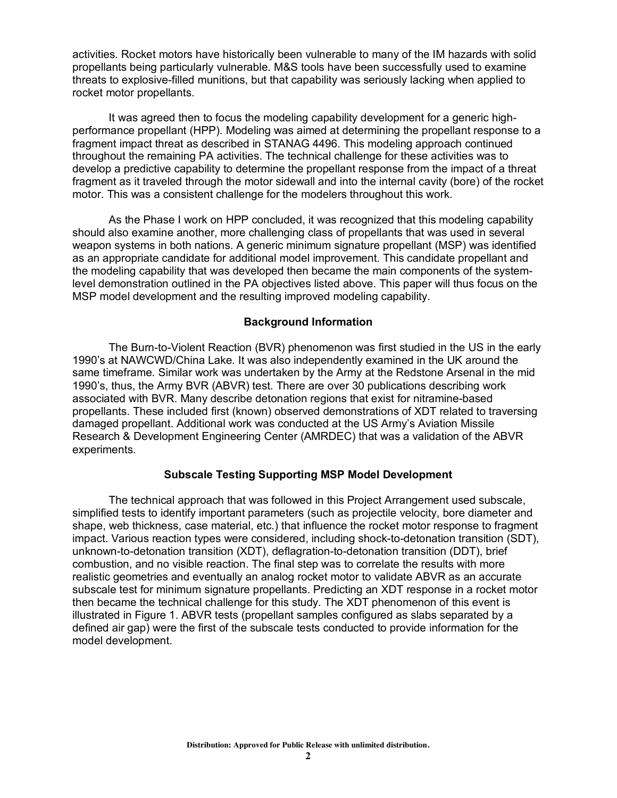activities. Rocket motors have historically been vulnerable to many of the IM hazards with solid propellants being particularly vulnerable. M&S tools have been successfully used to examine threats to explosive-filled munitions, but that capability was seriously lacking when applied to rocket motor propellants.

It was agreed then to focus the modeling capability development for a generic highperformance propellant (HPP). Modeling was aimed at determining the propellant response to a fragment impact threat as described in STANAG 4496. This modeling approach continued throughout the remaining PA activities. The technical challenge for these activities was to develop a predictive capability to determine the propellant response from the impact of a threat fragment as it traveled through the motor sidewall and into the internal cavity (bore) of the rocket motor. This was a consistent challenge for the modelers throughout this work.

As the Phase I work on HPP concluded, it was recognized that this modeling capability should also examine another, more challenging class of propellants that was used in several weapon systems in both nations. A generic minimum signature propellant (MSP) was identified as an appropriate candidate for additional model improvement. This candidate propellant and the modeling capability that was developed then became the main components of the systemlevel demonstration outlined in the PA objectives listed above. This paper will thus focus on the MSP model development and the resulting improved modeling capability.

#### **Background Information**

The Burn-to-Violent Reaction (BVR) phenomenon was first studied in the US in the early 1990's at NAWCWD/China Lake. It was also independently examined in the UK around the same timeframe. Similar work was undertaken by the Army at the Redstone Arsenal in the mid 1990's, thus, the Army BVR (ABVR) test. There are over 30 publications describing work associated with BVR. Many describe detonation regions that exist for nitramine-based propellants. These included first (known) observed demonstrations of XDT related to traversing damaged propellant. Additional work was conducted at the US Army's Aviation Missile Research & Development Engineering Center (AMRDEC) that was a validation of the ABVR experiments.

#### **Subscale Testing Supporting MSP Model Development**

The technical approach that was followed in this Project Arrangement used subscale, simplified tests to identify important parameters (such as projectile velocity, bore diameter and shape, web thickness, case material, etc.) that influence the rocket motor response to fragment impact. Various reaction types were considered, including shock-to-detonation transition (SDT), unknown-to-detonation transition (XDT), deflagration-to-detonation transition (DDT), brief combustion, and no visible reaction. The final step was to correlate the results with more realistic geometries and eventually an analog rocket motor to validate ABVR as an accurate subscale test for minimum signature propellants. Predicting an XDT response in a rocket motor then became the technical challenge for this study. The XDT phenomenon of this event is illustrated in Figure 1. ABVR tests (propellant samples configured as slabs separated by a defined air gap) were the first of the subscale tests conducted to provide information for the model development.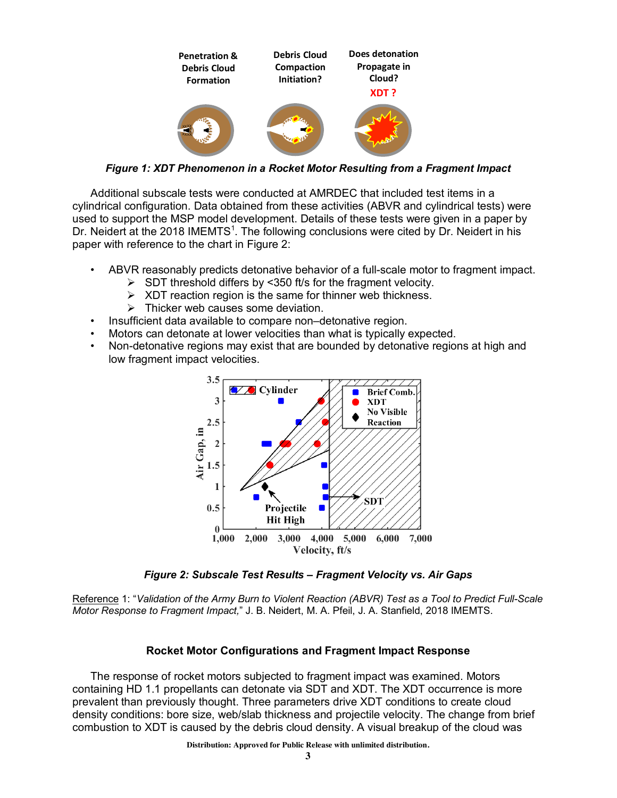

*Figure 1: XDT Phenomenon in a Rocket Motor Resulting from a Fragment Impact*

Additional subscale tests were conducted at AMRDEC that included test items in a cylindrical configuration. Data obtained from these activities (ABVR and cylindrical tests) were used to support the MSP model development. Details of these tests were given in a paper by Dr. Neidert at the 2018 IMEMTS<sup>1</sup>. The following conclusions were cited by Dr. Neidert in his paper with reference to the chart in Figure 2:

- ABVR reasonably predicts detonative behavior of a full-scale motor to fragment impact.
	- $\triangleright$  SDT threshold differs by <350 ft/s for the fragment velocity.
	- $\triangleright$  XDT reaction region is the same for thinner web thickness.
	- $\triangleright$  Thicker web causes some deviation.
- Insufficient data available to compare non-detonative region.
- Motors can detonate at lower velocities than what is typically expected.
- Non-detonative regions may exist that are bounded by detonative regions at high and low fragment impact velocities.



*Figure 2: Subscale Test Results – Fragment Velocity vs. Air Gaps*

Reference 1: "*Validation of the Army Burn to Violent Reaction (ABVR) Test as a Tool to Predict Full-Scale Motor Response to Fragment Impact,*" J. B. Neidert, M. A. Pfeil, J. A. Stanfield, 2018 IMEMTS.

### **Rocket Motor Configurations and Fragment Impact Response**

The response of rocket motors subjected to fragment impact was examined. Motors containing HD 1.1 propellants can detonate via SDT and XDT. The XDT occurrence is more prevalent than previously thought. Three parameters drive XDT conditions to create cloud density conditions: bore size, web/slab thickness and projectile velocity. The change from brief combustion to XDT is caused by the debris cloud density. A visual breakup of the cloud was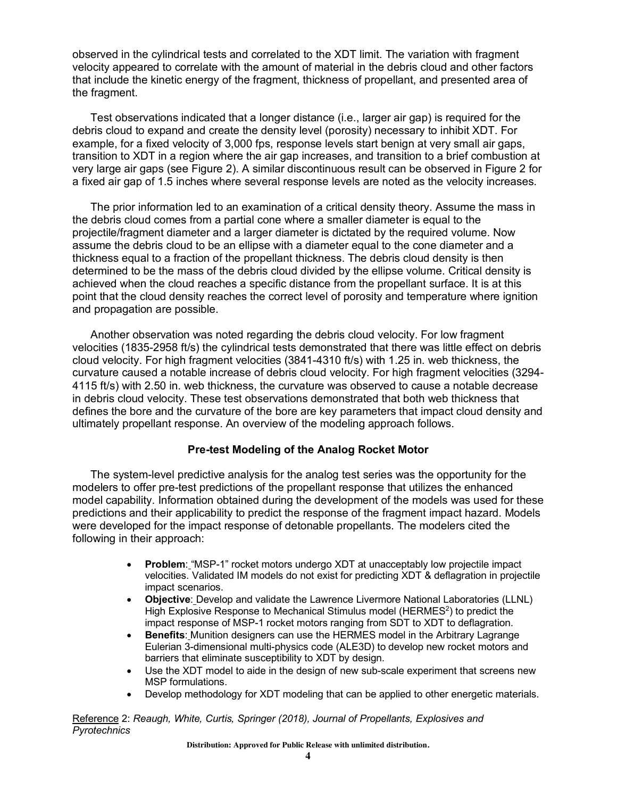observed in the cylindrical tests and correlated to the XDT limit. The variation with fragment velocity appeared to correlate with the amount of material in the debris cloud and other factors that include the kinetic energy of the fragment, thickness of propellant, and presented area of the fragment.

Test observations indicated that a longer distance (i.e., larger air gap) is required for the debris cloud to expand and create the density level (porosity) necessary to inhibit XDT. For example, for a fixed velocity of 3,000 fps, response levels start benign at very small air gaps, transition to XDT in a region where the air gap increases, and transition to a brief combustion at very large air gaps (see Figure 2). A similar discontinuous result can be observed in Figure 2 for a fixed air gap of 1.5 inches where several response levels are noted as the velocity increases.

The prior information led to an examination of a critical density theory. Assume the mass in the debris cloud comes from a partial cone where a smaller diameter is equal to the projectile/fragment diameter and a larger diameter is dictated by the required volume. Now assume the debris cloud to be an ellipse with a diameter equal to the cone diameter and a thickness equal to a fraction of the propellant thickness. The debris cloud density is then determined to be the mass of the debris cloud divided by the ellipse volume. Critical density is achieved when the cloud reaches a specific distance from the propellant surface. It is at this point that the cloud density reaches the correct level of porosity and temperature where ignition and propagation are possible.

Another observation was noted regarding the debris cloud velocity. For low fragment velocities (1835-2958 ft/s) the cylindrical tests demonstrated that there was little effect on debris cloud velocity. For high fragment velocities (3841-4310 ft/s) with 1.25 in. web thickness, the curvature caused a notable increase of debris cloud velocity. For high fragment velocities (3294- 4115 ft/s) with 2.50 in. web thickness, the curvature was observed to cause a notable decrease in debris cloud velocity. These test observations demonstrated that both web thickness that defines the bore and the curvature of the bore are key parameters that impact cloud density and ultimately propellant response. An overview of the modeling approach follows.

### **Pre-test Modeling of the Analog Rocket Motor**

The system-level predictive analysis for the analog test series was the opportunity for the modelers to offer pre-test predictions of the propellant response that utilizes the enhanced model capability. Information obtained during the development of the models was used for these predictions and their applicability to predict the response of the fragment impact hazard. Models were developed for the impact response of detonable propellants. The modelers cited the following in their approach:

- **Problem**: "MSP-1" rocket motors undergo XDT at unacceptably low projectile impact velocities. Validated IM models do not exist for predicting XDT & deflagration in projectile impact scenarios.
- **Objective**: Develop and validate the Lawrence Livermore National Laboratories (LLNL) High Explosive Response to Mechanical Stimulus model (HERMES<sup>2</sup>) to predict the impact response of MSP-1 rocket motors ranging from SDT to XDT to deflagration.
- **Benefits**: Munition designers can use the HERMES model in the Arbitrary Lagrange Eulerian 3-dimensional multi-physics code (ALE3D) to develop new rocket motors and barriers that eliminate susceptibility to XDT by design.
- Use the XDT model to aide in the design of new sub-scale experiment that screens new MSP formulations.
- Develop methodology for XDT modeling that can be applied to other energetic materials.

Reference 2: *Reaugh, White, Curtis, Springer (2018), Journal of Propellants, Explosives and Pyrotechnics*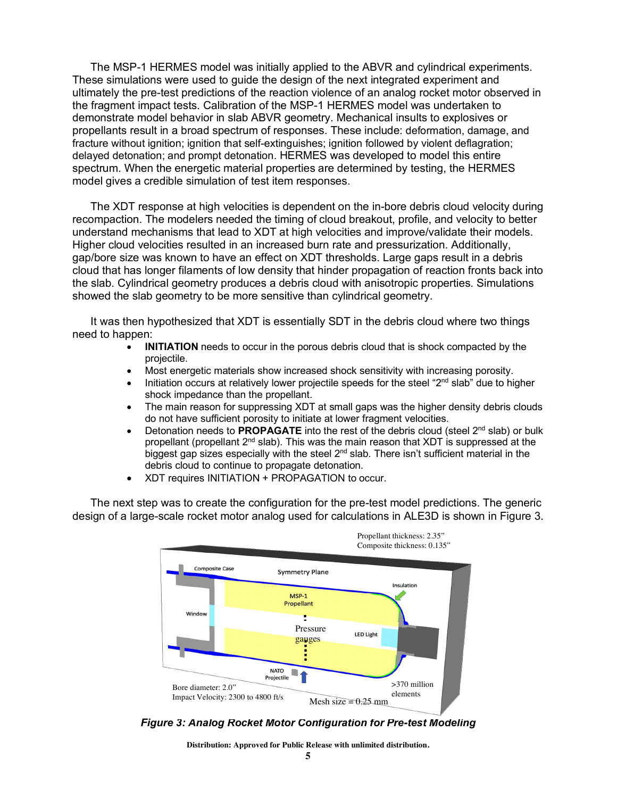The MSP-1 HERMES model was initially applied to the ABVR and cylindrical experiments. These simulations were used to guide the design of the next integrated experiment and ultimately the pre-test predictions of the reaction violence of an analog rocket motor observed in the fragment impact tests. Calibration of the MSP-1 HERMES model was undertaken to demonstrate model behavior in slab ABVR geometry. Mechanical insults to explosives or propellants result in a broad spectrum of responses. These include: deformation, damage, and fracture without ignition; ignition that self-extinguishes; ignition followed by violent deflagration; delayed detonation; and prompt detonation. HERMES was developed to model this entire spectrum. When the energetic material properties are determined by testing, the HERMES model gives a credible simulation of test item responses.

The XDT response at high velocities is dependent on the in-bore debris cloud velocity during recompaction. The modelers needed the timing of cloud breakout, profile, and velocity to better understand mechanisms that lead to XDT at high velocities and improve/validate their models. Higher cloud velocities resulted in an increased burn rate and pressurization. Additionally, gap/bore size was known to have an effect on XDT thresholds. Large gaps result in a debris cloud that has longer filaments of low density that hinder propagation of reaction fronts back into the slab. Cylindrical geometry produces a debris cloud with anisotropic properties. Simulations showed the slab geometry to be more sensitive than cylindrical geometry.

It was then hypothesized that XDT is essentially SDT in the debris cloud where two things need to happen:

- **INITIATION** needs to occur in the porous debris cloud that is shock compacted by the projectile.
- Most energetic materials show increased shock sensitivity with increasing porosity.
- $\bullet$  Initiation occurs at relatively lower projectile speeds for the steel "2<sup>nd</sup> slab" due to higher shock impedance than the propellant.
- The main reason for suppressing XDT at small gaps was the higher density debris clouds do not have sufficient porosity to initiate at lower fragment velocities.
- Detonation needs to **PROPAGATE** into the rest of the debris cloud (steel 2<sup>nd</sup> slab) or bulk propellant (propellant 2<sup>nd</sup> slab). This was the main reason that XDT is suppressed at the biggest gap sizes especially with the steel  $2<sup>nd</sup>$  slab. There isn't sufficient material in the debris cloud to continue to propagate detonation.
- XDT requires INITIATION + PROPAGATION to occur.

The next step was to create the configuration for the pre-test model predictions. The generic design of a large-scale rocket motor analog used for calculations in ALE3D is shown in Figure 3.



*Figure 3: Analog Rocket Motor Configuration for Pre-test Modeling*

**Distribution: Approved for Public Release with unlimited distribution.**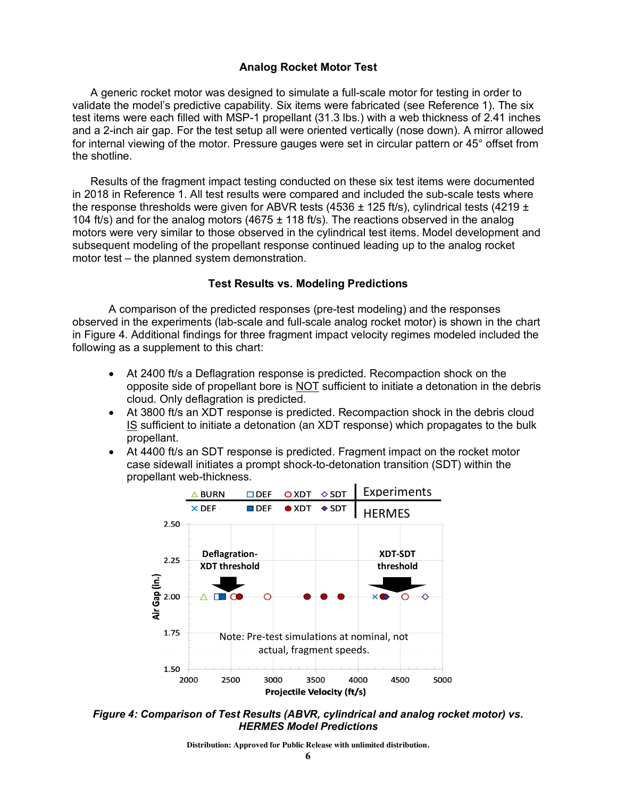### **Analog Rocket Motor Test**

A generic rocket motor was designed to simulate a full-scale motor for testing in order to validate the model's predictive capability. Six items were fabricated (see Reference 1). The six test items were each filled with MSP-1 propellant (31.3 lbs.) with a web thickness of 2.41 inches and a 2-inch air gap. For the test setup all were oriented vertically (nose down). A mirror allowed for internal viewing of the motor. Pressure gauges were set in circular pattern or 45° offset from the shotline.

Results of the fragment impact testing conducted on these six test items were documented in 2018 in Reference 1. All test results were compared and included the sub-scale tests where the response thresholds were given for ABVR tests (4536  $\pm$  125 ft/s), cylindrical tests (4219  $\pm$ 104 ft/s) and for the analog motors (4675  $\pm$  118 ft/s). The reactions observed in the analog motors were very similar to those observed in the cylindrical test items. Model development and subsequent modeling of the propellant response continued leading up to the analog rocket motor test – the planned system demonstration.

#### **Test Results vs. Modeling Predictions**

A comparison of the predicted responses (pre-test modeling) and the responses observed in the experiments (lab-scale and full-scale analog rocket motor) is shown in the chart in Figure 4. Additional findings for three fragment impact velocity regimes modeled included the following as a supplement to this chart:

- At 2400 ft/s a Deflagration response is predicted. Recompaction shock on the opposite side of propellant bore is NOT sufficient to initiate a detonation in the debris cloud. Only deflagration is predicted.
- At 3800 ft/s an XDT response is predicted. Recompaction shock in the debris cloud IS sufficient to initiate a detonation (an XDT response) which propagates to the bulk propellant.
- At 4400 ft/s an SDT response is predicted. Fragment impact on the rocket motor case sidewall initiates a prompt shock-to-detonation transition (SDT) within the propellant web-thickness.



*Figure 4: Comparison of Test Results (ABVR, cylindrical and analog rocket motor) vs. HERMES Model Predictions*

**Distribution: Approved for Public Release with unlimited distribution.**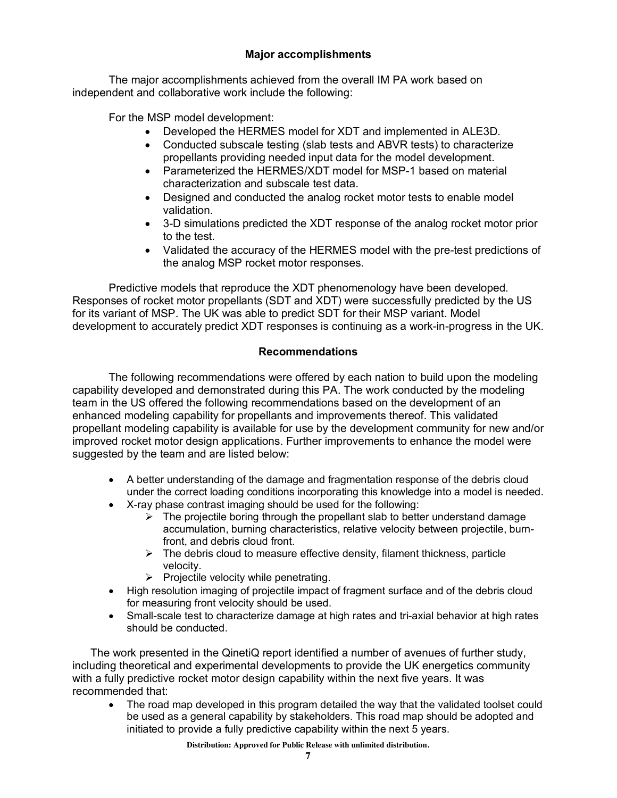## **Major accomplishments**

The major accomplishments achieved from the overall IM PA work based on independent and collaborative work include the following:

For the MSP model development:

- Developed the HERMES model for XDT and implemented in ALE3D.
- Conducted subscale testing (slab tests and ABVR tests) to characterize propellants providing needed input data for the model development.
- Parameterized the HERMES/XDT model for MSP-1 based on material characterization and subscale test data.
- Designed and conducted the analog rocket motor tests to enable model validation.
- 3-D simulations predicted the XDT response of the analog rocket motor prior to the test.
- Validated the accuracy of the HERMES model with the pre-test predictions of the analog MSP rocket motor responses.

Predictive models that reproduce the XDT phenomenology have been developed. Responses of rocket motor propellants (SDT and XDT) were successfully predicted by the US for its variant of MSP. The UK was able to predict SDT for their MSP variant. Model development to accurately predict XDT responses is continuing as a work-in-progress in the UK.

### **Recommendations**

The following recommendations were offered by each nation to build upon the modeling capability developed and demonstrated during this PA. The work conducted by the modeling team in the US offered the following recommendations based on the development of an enhanced modeling capability for propellants and improvements thereof. This validated propellant modeling capability is available for use by the development community for new and/or improved rocket motor design applications. Further improvements to enhance the model were suggested by the team and are listed below:

- A better understanding of the damage and fragmentation response of the debris cloud under the correct loading conditions incorporating this knowledge into a model is needed.
- X-ray phase contrast imaging should be used for the following:
	- $\triangleright$  The projectile boring through the propellant slab to better understand damage accumulation, burning characteristics, relative velocity between projectile, burnfront, and debris cloud front.
	- $\triangleright$  The debris cloud to measure effective density, filament thickness, particle velocity.
	- $\triangleright$  Projectile velocity while penetrating.
- High resolution imaging of projectile impact of fragment surface and of the debris cloud for measuring front velocity should be used.
- Small-scale test to characterize damage at high rates and tri-axial behavior at high rates should be conducted.

The work presented in the QinetiQ report identified a number of avenues of further study, including theoretical and experimental developments to provide the UK energetics community with a fully predictive rocket motor design capability within the next five years. It was recommended that:

• The road map developed in this program detailed the way that the validated toolset could be used as a general capability by stakeholders. This road map should be adopted and initiated to provide a fully predictive capability within the next 5 years.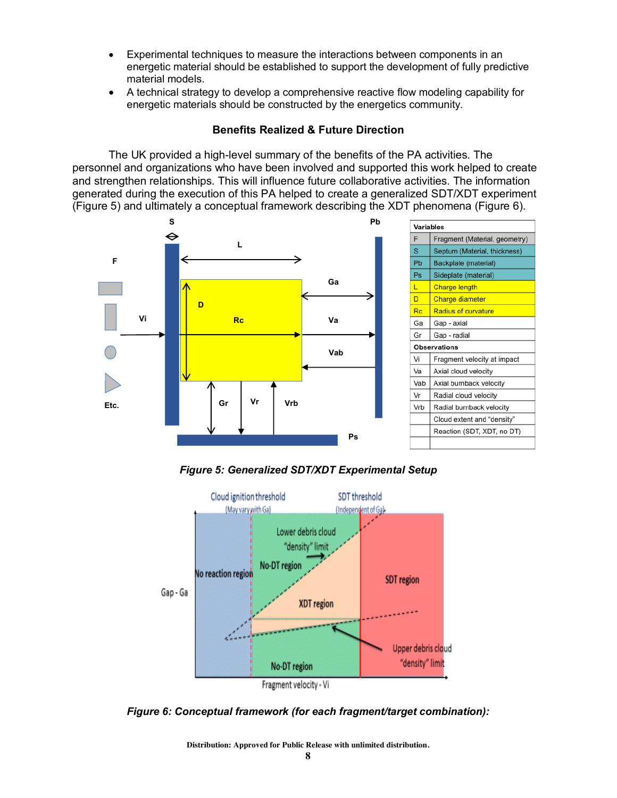- Experimental techniques to measure the interactions between components in an energetic material should be established to support the development of fully predictive material models.
- A technical strategy to develop a comprehensive reactive flow modeling capability for energetic materials should be constructed by the energetics community.

### **Benefits Realized & Future Direction**

The UK provided a high-level summary of the benefits of the PA activities. The personnel and organizations who have been involved and supported this work helped to create and strengthen relationships. This will influence future collaborative activities. The information generated during the execution of this PA helped to create a generalized SDT/XDT experiment (Figure 5) and ultimately a conceptual framework describing the XDT phenomena (Figure 6).



*Figure 5: Generalized SDT/XDT Experimental Setup*



*Figure 6: Conceptual framework (for each fragment/target combination):*

**Distribution: Approved for Public Release with unlimited distribution.**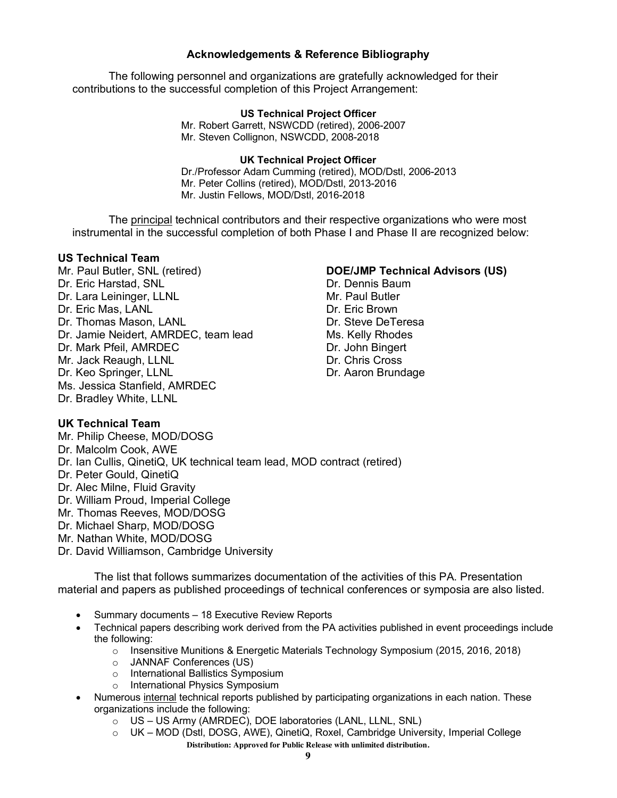### **Acknowledgements & Reference Bibliography**

The following personnel and organizations are gratefully acknowledged for their contributions to the successful completion of this Project Arrangement:

### **US Technical Project Officer**

Mr. Robert Garrett, NSWCDD (retired), 2006-2007 Mr. Steven Collignon, NSWCDD, 2008-2018

### **UK Technical Project Officer**

Dr./Professor Adam Cumming (retired), MOD/Dstl, 2006-2013 Mr. Peter Collins (retired), MOD/Dstl, 2013-2016 Mr. Justin Fellows, MOD/Dstl, 2016-2018

The principal technical contributors and their respective organizations who were most instrumental in the successful completion of both Phase I and Phase II are recognized below:

#### **US Technical Team**

**UK Technical Team**

Mr. Paul Butler, SNL (retired) Dr. Eric Harstad, SNL Dr. Lara Leininger, LLNL Dr. Eric Mas, LANL Dr. Thomas Mason, LANL Dr. Jamie Neidert, AMRDEC, team lead Dr. Mark Pfeil, AMRDEC Mr. Jack Reaugh, LLNL Dr. Keo Springer, LLNL Ms. Jessica Stanfield, AMRDEC Dr. Bradley White, LLNL

### **DOE/JMP Technical Advisors (US)**

Dr. Dennis Baum Mr. Paul Butler Dr. Eric Brown Dr. Steve DeTeresa Ms. Kelly Rhodes Dr. John Bingert Dr. Chris Cross Dr. Aaron Brundage

### Mr. Philip Cheese, MOD/DOSG Dr. Malcolm Cook, AWE Dr. Ian Cullis, QinetiQ, UK technical team lead, MOD contract (retired) Dr. Peter Gould, QinetiQ Dr. Alec Milne, Fluid Gravity Dr. William Proud, Imperial College Mr. Thomas Reeves, MOD/DOSG Dr. Michael Sharp, MOD/DOSG Mr. Nathan White, MOD/DOSG Dr. David Williamson, Cambridge University

The list that follows summarizes documentation of the activities of this PA. Presentation material and papers as published proceedings of technical conferences or symposia are also listed.

- Summary documents 18 Executive Review Reports
- Technical papers describing work derived from the PA activities published in event proceedings include the following:
	- o Insensitive Munitions & Energetic Materials Technology Symposium (2015, 2016, 2018)
	- o JANNAF Conferences (US)
	- o International Ballistics Symposium
	- o International Physics Symposium
- Numerous internal technical reports published by participating organizations in each nation. These organizations include the following:
	- o US US Army (AMRDEC), DOE laboratories (LANL, LLNL, SNL)
	- **Distribution: Approved for Public Release with unlimited distribution.** o UK – MOD (Dstl, DOSG, AWE), QinetiQ, Roxel, Cambridge University, Imperial College